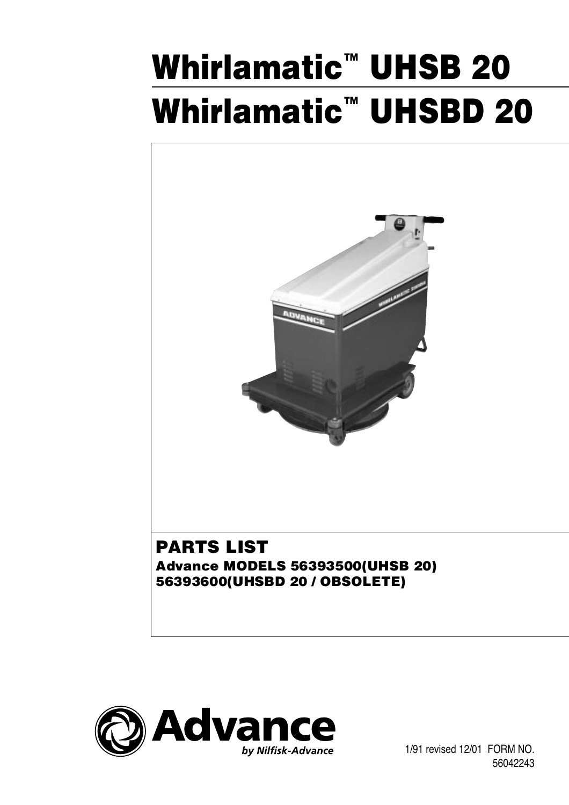# **Whirlamatic™ UHSB 20 Whirlamatic™ UHSBD 20**



# **PARTS LIST Advance MODELS 56393500(UHSB 20) 56393600(UHSBD 20 / OBSOLETE)**



 1/91 revised 12/01 FORM NO. 56042243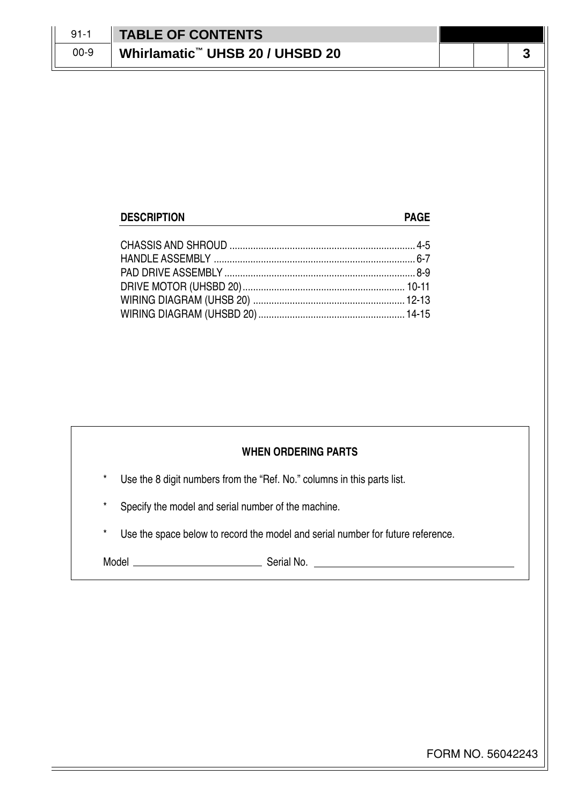| $91 - 1$ | <b>TABLE OF CONTENTS</b>                    |  |  |
|----------|---------------------------------------------|--|--|
| $00-9$   | Whirlamatic <sup>™</sup> UHSB 20 / UHSBD 20 |  |  |

## **DESCRIPTION PAGE** CHASSIS AND SHROUD ....................................................................... 4-5 HANDLE ASSEMBLY ............................................................................. 6-7 PAD DRIVE ASSEMBLY ......................................................................... 8-9 DRIVE MOTOR (UHSBD 20).............................................................. 10-11 WIRING DIAGRAM (UHSB 20) .......................................................... 12-13 WIRING DIAGRAM (UHSBD 20) ........................................................ 14-15

### **WHEN ORDERING PARTS**

- Use the 8 digit numbers from the "Ref. No." columns in this parts list.
- Specify the model and serial number of the machine.
- Use the space below to record the model and serial number for future reference.

Model Serial No.

FORM NO. 56042243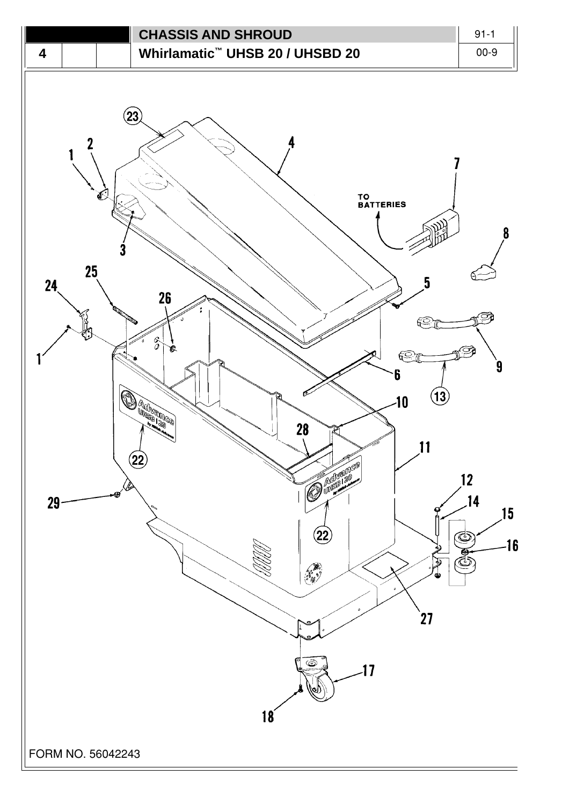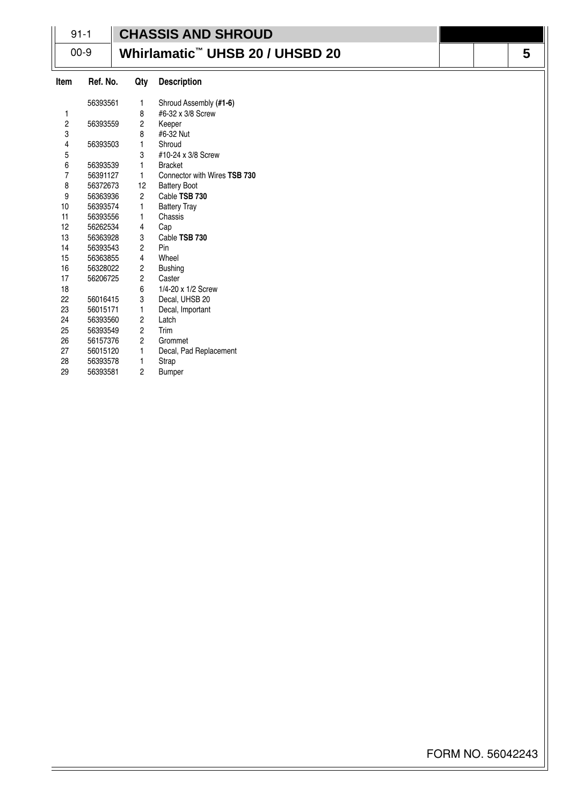|                         | $91 - 1$ |                         | <b>CHASSIS AND SHROUD</b>                   |   |
|-------------------------|----------|-------------------------|---------------------------------------------|---|
|                         |          |                         |                                             |   |
|                         | $00 - 9$ |                         | Whirlamatic <sup>™</sup> UHSB 20 / UHSBD 20 | 5 |
| Item                    | Ref. No. | Qty                     | <b>Description</b>                          |   |
|                         | 56393561 | 1                       | Shroud Assembly (#1-6)                      |   |
| 1                       |          | 8                       | #6-32 x 3/8 Screw                           |   |
| $\overline{\mathbf{c}}$ | 56393559 | $\overline{\mathbf{c}}$ | Keeper                                      |   |
| 3                       |          | 8                       | #6-32 Nut                                   |   |
| 4                       | 56393503 | 1                       | Shroud                                      |   |
| 5                       |          | 3                       | #10-24 x 3/8 Screw                          |   |
| 6                       | 56393539 | $\mathbf{1}$            | <b>Bracket</b>                              |   |
| $\overline{7}$          | 56391127 | 1                       | Connector with Wires TSB 730                |   |
| 8                       | 56372673 | 12                      | <b>Battery Boot</b>                         |   |
| 9                       | 56363936 | $\overline{c}$          | Cable TSB 730                               |   |
| 10                      | 56393574 | 1                       | <b>Battery Tray</b>                         |   |
| 11                      | 56393556 | 1                       | Chassis                                     |   |
| 12                      | 56262534 | 4                       | Cap                                         |   |
| 13                      | 56363928 | 3                       | Cable TSB 730                               |   |
| 14                      | 56393543 | $\overline{c}$          | Pin                                         |   |
| 15                      | 56363855 | 4                       | Wheel                                       |   |
| 16                      | 56328022 | 2                       | <b>Bushing</b>                              |   |
| 17                      | 56206725 | $\overline{c}$          | Caster                                      |   |
| 18                      |          | 6                       | 1/4-20 x 1/2 Screw                          |   |
| 22                      | 56016415 | 3                       | Decal, UHSB 20                              |   |
| 23                      | 56015171 | 1                       | Decal, Important                            |   |
| 24                      | 56393560 | $\overline{c}$          | Latch                                       |   |
| 25                      | 56393549 | $\overline{c}$          | Trim                                        |   |
| 26                      | 56157376 | $\overline{c}$          | Grommet                                     |   |
| 27                      | 56015120 | 1                       | Decal, Pad Replacement                      |   |
| 28                      | 56393578 | 1                       | Strap                                       |   |
| 29                      | 56393581 | $\overline{c}$          | <b>Bumper</b>                               |   |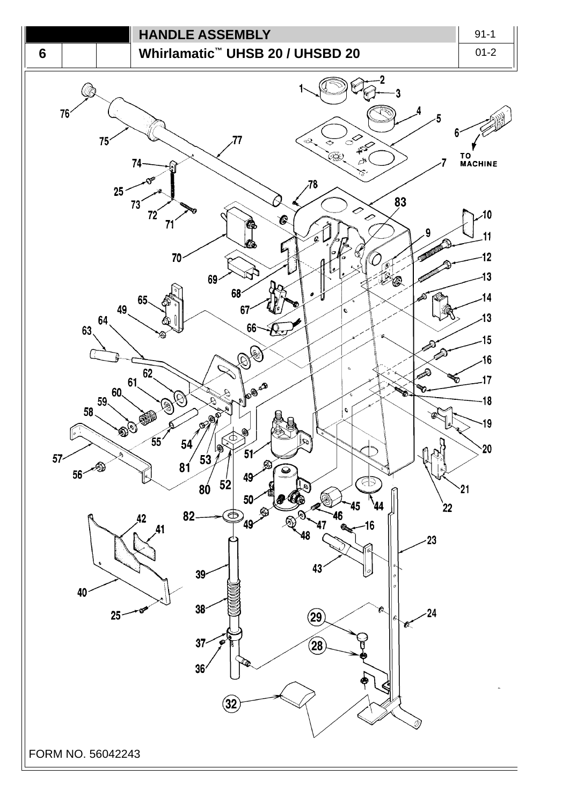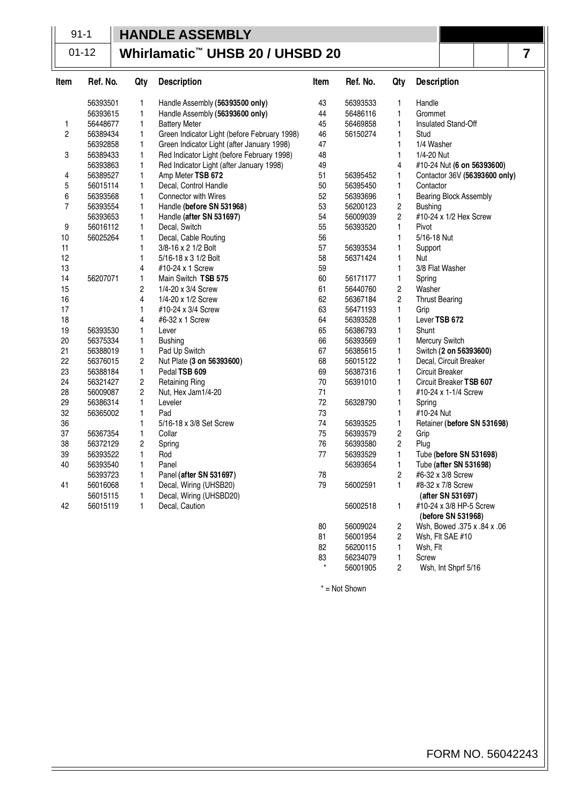# 91-1 **HANDLE ASSEMBLY**

#### **Whirlamatic™ UHSB 20 / UHSBD 20** 01-12

| Item           | Ref. No. | Qty                     | <b>Description</b>                           | Item | Ref. No. | Qty                     | <b>Description</b>                            |
|----------------|----------|-------------------------|----------------------------------------------|------|----------|-------------------------|-----------------------------------------------|
|                | 56393501 | 1                       | Handle Assembly (56393500 only)              | 43   | 56393533 | 1                       | Handle                                        |
|                | 56393615 | 1                       | Handle Assembly (56393600 only)              | 44   | 56486116 | 1                       | Grommet                                       |
| 1              | 56448677 | $\mathbf{1}$            | <b>Battery Meter</b>                         | 45   | 56469858 | $\mathbf{1}$            | Insulated Stand-Off                           |
| $\overline{c}$ | 56389434 | 1                       | Green Indicator Light (before February 1998) | 46   | 56150274 | $\mathbf{1}$            | Stud                                          |
|                | 56392858 | 1                       | Green Indicator Light (after January 1998)   | 47   |          | 1                       | 1/4 Washer                                    |
| 3              | 56389433 | $\mathbf{1}$            | Red Indicator Light (before February 1998)   | 48   |          | 1                       | 1/4-20 Nut                                    |
|                | 56393863 | $\mathbf{1}$            | Red Indicator Light (after January 1998)     | 49   |          | 4                       | #10-24 Nut (6 on 56393600)                    |
| 4              | 56389527 | $\mathbf{1}$            | Amp Meter TSB 672                            | 51   | 56395452 | 1                       | Contactor 36V (56393600 only)                 |
| 5              | 56015114 | 1                       | Decal, Control Handle                        | 50   | 56395450 | 1                       | Contactor                                     |
| 6              | 56393568 | $\mathbf{1}$            | Connector with Wires                         | 52   | 56393696 | $\mathbf{1}$            | Bearing Block Assembly                        |
| $\overline{7}$ | 56393554 | $\mathbf{1}$            | Handle (before SN 531968)                    | 53   | 56200123 | $\overline{c}$          | <b>Bushing</b>                                |
|                | 56393653 | 1                       | Handle (after SN 531697)                     | 54   | 56009039 | $\overline{c}$          | #10-24 x 1/2 Hex Screw                        |
| 9              | 56016112 | $\mathbf{1}$            | Decal, Switch                                | 55   | 56393520 | $\mathbf{1}$            | Pivot                                         |
| 10             | 56025264 | 1                       | Decal, Cable Routing                         | 56   |          | 1                       | 5/16-18 Nut                                   |
| 11             |          | $\mathbf{1}$            | 3/8-16 x 2 1/2 Bolt                          | 57   | 56393534 | 1                       | Support                                       |
| 12             |          | $\mathbf{1}$            | 5/16-18 x 3 1/2 Bolt                         | 58   | 56371424 | 1                       | Nut                                           |
| 13             |          | 4                       | #10-24 x 1 Screw                             | 59   |          | 1                       | 3/8 Flat Washer                               |
| 14             | 56207071 | $\mathbf{1}$            | Main Switch TSB 575                          | 60   | 56171177 | $\mathbf{1}$            | Spring                                        |
| 15             |          | 2                       | 1/4-20 x 3/4 Screw                           | 61   | 56440760 | $\overline{\mathbf{c}}$ | Washer                                        |
| 16             |          | 4                       | 1/4-20 x 1/2 Screw                           | 62   | 56367184 | $\overline{c}$          | <b>Thrust Bearing</b>                         |
| 17             |          | $\mathbf{1}$            | #10-24 x 3/4 Screw                           | 63   | 56471193 | $\mathbf{1}$            | Grip                                          |
| 18             |          | 4                       | #6-32 x 1 Screw                              | 64   | 56393528 | 1                       | Lever TSB 672                                 |
| 19             | 56393530 | 1                       | Lever                                        | 65   | 56386793 | 1                       | Shunt                                         |
| 20             | 56375334 | 1                       | <b>Bushing</b>                               | 66   | 56393569 | 1                       | Mercury Switch                                |
| 21             | 56388019 | $\mathbf{1}$            | Pad Up Switch                                | 67   | 56385615 | 1                       | Switch (2 on 56393600)                        |
| 22             | 56376015 | $\overline{\mathbf{c}}$ | Nut Plate (3 on 56393600)                    | 68   | 56015122 | 1                       | Decal, Circuit Breaker                        |
| 23             | 56388184 | 1                       | Pedal TSB 609                                | 69   | 56387316 | 1                       | Circuit Breaker                               |
| 24             | 56321427 | 2                       | <b>Retaining Ring</b>                        | 70   | 56391010 | 1                       | Circuit Breaker TSB 607                       |
| 28             | 56009087 | 2                       | Nut, Hex Jam1/4-20                           | 71   |          | 1                       | #10-24 x 1-1/4 Screw                          |
| 29             | 56386314 | 1                       | Leveler                                      | 72   | 56328790 | 1                       | Spring                                        |
| 32             | 56365002 | $\mathbf{1}$            | Pad                                          | 73   |          | 1                       | #10-24 Nut                                    |
| 36             |          | 1                       | 5/16-18 x 3/8 Set Screw                      | 74   | 56393525 | 1                       | Retainer (before SN 531698)                   |
| 37             | 56367354 | $\mathbf{1}$            | Collar                                       | 75   | 56393579 | $\overline{c}$          | Grip                                          |
| 38             | 56372129 | $\overline{c}$          | Spring                                       | 76   | 56393580 | 2                       | Plug                                          |
| 39             | 56393522 | $\mathbf{1}$            | Rod                                          | 77   | 56393529 | 1                       | Tube (before SN 531698)                       |
| 40             | 56393540 | $\mathbf{1}$            | Panel                                        |      | 56393654 | $\mathbf{1}$            | Tube (after SN 531698)                        |
|                | 56393723 | 1                       | Panel (after SN 531697)                      | 78   |          | 2                       | #6-32 x 3/8 Screw                             |
| 41             | 56016068 | $\mathbf{1}$            | Decal, Wiring (UHSB20)                       | 79   | 56002591 | $\mathbf{1}$            | #8-32 x 7/8 Screw                             |
|                | 56015115 | $\mathbf{1}$            | Decal, Wiring (UHSBD20)                      |      |          |                         | (after SN 531697)                             |
| 42             | 56015119 | $\mathbf{1}$            | Decal, Caution                               |      | 56002518 | 1                       | #10-24 x 3/8 HP-5 Screw<br>(before SN 531968) |

80 56009024 2 Wsh, Bowed .375 x .84 x .06 81 56001954 2 Wsh, Flt SAE #10 82 56200115 1 Wsh, Flt 83 56234079 1 Screw \* 56001905 2 Wsh, Int Shprf 5/16

\* = Not Shown

**7**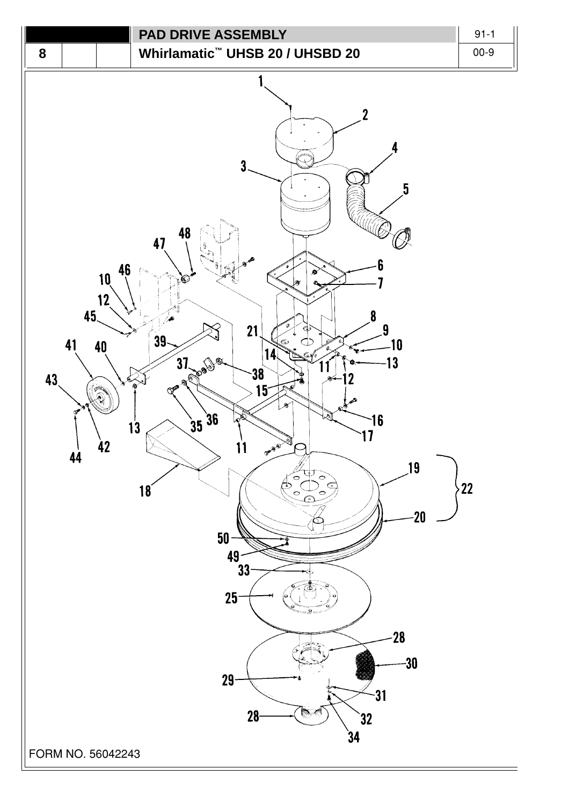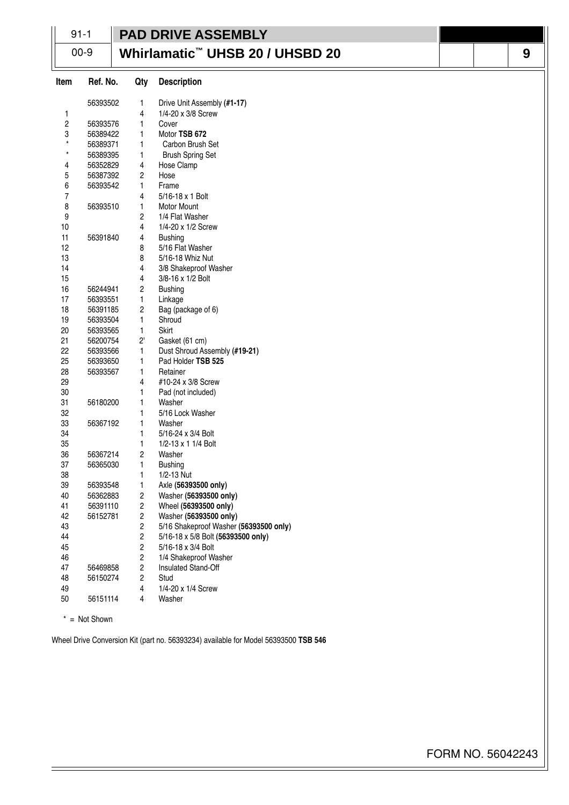|                         | $91 - 1$        |                              | <b>PAD DRIVE ASSEMBLY</b>                                |  |   |
|-------------------------|-----------------|------------------------------|----------------------------------------------------------|--|---|
|                         | $00 - 9$        |                              | Whirlamatic™ UHSB 20 / UHSBD 20                          |  | 9 |
| Item                    | Ref. No.        | Qty                          | <b>Description</b>                                       |  |   |
|                         | 56393502        | 1                            | Drive Unit Assembly (#1-17)                              |  |   |
| 1                       |                 | 4                            | 1/4-20 x 3/8 Screw                                       |  |   |
| $\overline{\mathbf{c}}$ | 56393576        | 1                            | Cover                                                    |  |   |
| 3                       | 56389422        | $\mathbf{1}$                 | Motor TSB 672                                            |  |   |
| $\star$                 | 56389371        | 1                            | Carbon Brush Set                                         |  |   |
| $\star$                 | 56389395        | 1                            | <b>Brush Spring Set</b>                                  |  |   |
| 4                       | 56352829        | 4                            | Hose Clamp                                               |  |   |
| 5                       | 56387392        | 2                            | Hose                                                     |  |   |
| 6                       | 56393542        | $\mathbf{1}$                 | Frame                                                    |  |   |
| 7                       |                 | 4                            | 5/16-18 x 1 Bolt                                         |  |   |
| 8                       | 56393510        | 1                            | <b>Motor Mount</b>                                       |  |   |
| 9                       |                 | 2                            | 1/4 Flat Washer                                          |  |   |
| 10<br>11                |                 | 4                            | 1/4-20 x 1/2 Screw                                       |  |   |
| 12                      | 56391840        | 4                            | <b>Bushing</b><br>5/16 Flat Washer                       |  |   |
| 13                      |                 | 8<br>8                       | 5/16-18 Whiz Nut                                         |  |   |
| 14                      |                 | 4                            | 3/8 Shakeproof Washer                                    |  |   |
| 15                      |                 | 4                            | 3/8-16 x 1/2 Bolt                                        |  |   |
| 16                      | 56244941        | 2                            | <b>Bushing</b>                                           |  |   |
| 17                      | 56393551        | 1                            | Linkage                                                  |  |   |
| 18                      | 56391185        | 2                            | Bag (package of 6)                                       |  |   |
| 19                      | 56393504        | $\mathbf{1}$                 | Shroud                                                   |  |   |
| 20                      | 56393565        | $\mathbf{1}$                 | Skirt                                                    |  |   |
| 21                      | 56200754        | $2^{\circ}$                  | Gasket (61 cm)                                           |  |   |
| 22                      | 56393566        | $\mathbf{1}$                 | Dust Shroud Assembly (#19-21)                            |  |   |
| 25                      | 56393650        | 1                            | Pad Holder TSB 525                                       |  |   |
| 28                      | 56393567        | 1                            | Retainer                                                 |  |   |
| 29                      |                 | 4                            | #10-24 x 3/8 Screw                                       |  |   |
| 30                      |                 | 1                            | Pad (not included)                                       |  |   |
| 31                      | 56180200        | 1                            | Washer                                                   |  |   |
| 32                      |                 |                              | 5/16 Lock Washer                                         |  |   |
| 33                      | 56367192        | 1                            | Washer                                                   |  |   |
| 34                      |                 | 1                            | 5/16-24 x 3/4 Bolt                                       |  |   |
| 35                      |                 | 1                            | 1/2-13 x 1 1/4 Bolt                                      |  |   |
| 36                      | 56367214        | 2                            | Washer                                                   |  |   |
| 37                      | 56365030        | 1                            | <b>Bushing</b>                                           |  |   |
| 38                      |                 | 1                            | 1/2-13 Nut                                               |  |   |
| 39                      | 56393548        | 1                            | Axle (56393500 only)                                     |  |   |
| 40                      | 56362883        | 2                            | Washer (56393500 only)                                   |  |   |
| 41                      | 56391110        | 2                            | Wheel (56393500 only)                                    |  |   |
| 42                      | 56152781        | 2                            | Washer (56393500 only)                                   |  |   |
| 43                      |                 | 2                            | 5/16 Shakeproof Washer (56393500 only)                   |  |   |
| 44<br>45                |                 | $\overline{\mathbf{c}}$<br>2 | 5/16-18 x 5/8 Bolt (56393500 only)<br>5/16-18 x 3/4 Bolt |  |   |
| 46                      |                 | $\overline{c}$               | 1/4 Shakeproof Washer                                    |  |   |
| 47                      | 56469858        | 2                            | Insulated Stand-Off                                      |  |   |
| 48                      | 56150274        | 2                            | Stud                                                     |  |   |
| 49                      |                 | 4                            | 1/4-20 x 1/4 Screw                                       |  |   |
| 50                      | 56151114        | 4                            | Washer                                                   |  |   |
|                         |                 |                              |                                                          |  |   |
|                         | $*$ = Not Shown |                              |                                                          |  |   |

Wheel Drive Conversion Kit (part no. 56393234) available for Model 56393500 **TSB 546**

FORM NO. 56042243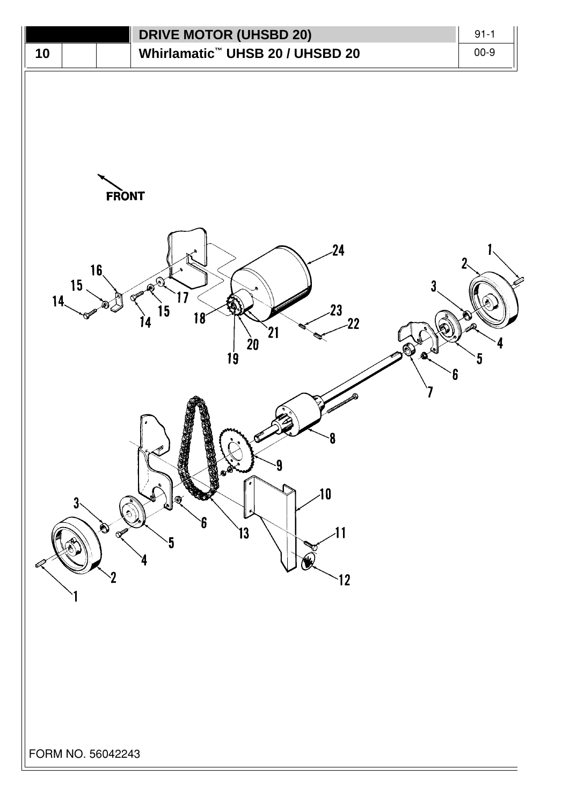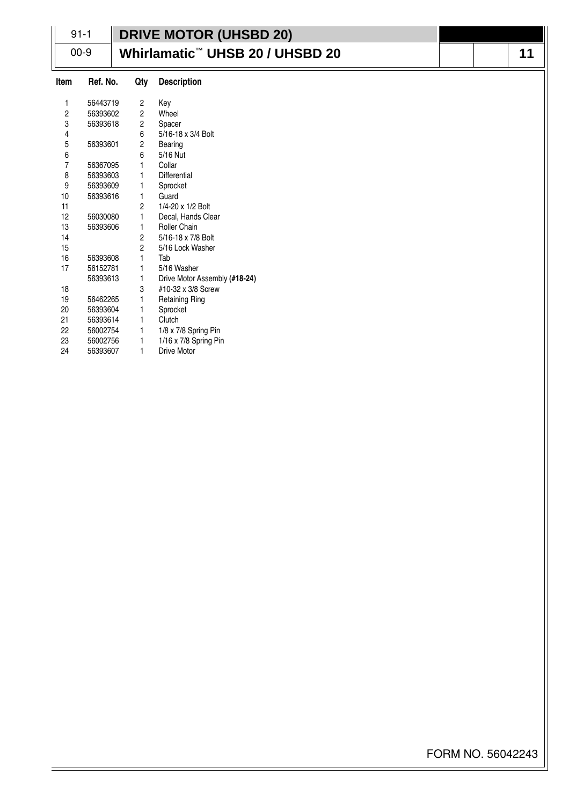| $91 - 1$       |          |                | <b>DRIVE MOTOR (UHSBD 20)</b>                     |
|----------------|----------|----------------|---------------------------------------------------|
|                | $00-9$   |                | Whirlamatic <sup>™</sup> UHSB 20 / UHSBD 20<br>11 |
| Item           | Ref. No. | Qty            | <b>Description</b>                                |
| 1              | 56443719 | 2              | Key                                               |
| $\overline{c}$ | 56393602 | 2              | Wheel                                             |
| 3              | 56393618 | 2              | Spacer                                            |
| 4              |          | 6              | 5/16-18 x 3/4 Bolt                                |
| $\sqrt{5}$     | 56393601 | 2              | Bearing                                           |
| 6              |          | 6              | 5/16 Nut                                          |
| $\overline{7}$ | 56367095 | 1              | Collar                                            |
| 8              | 56393603 | 1              | Differential                                      |
| 9              | 56393609 | 1              | Sprocket                                          |
| 10             | 56393616 | 1              | Guard                                             |
| 11             |          | 2              | 1/4-20 x 1/2 Bolt                                 |
| 12             | 56030080 | 1              | Decal, Hands Clear                                |
| 13             | 56393606 | 1              | Roller Chain                                      |
| 14             |          | $\overline{c}$ | 5/16-18 x 7/8 Bolt                                |
| 15             |          | 2              | 5/16 Lock Washer                                  |
| 16             | 56393608 | 1              | Tab                                               |
| 17             | 56152781 | 1              | 5/16 Washer                                       |
|                | 56393613 | 1              | Drive Motor Assembly (#18-24)                     |
| 18             |          | 3              | #10-32 x 3/8 Screw                                |
| 19             | 56462265 | 1              | <b>Retaining Ring</b>                             |
| 20             | 56393604 | 1              | Sprocket                                          |
| 21             | 56393614 | 1              | Clutch                                            |
| 22             | 56002754 | 1              | 1/8 x 7/8 Spring Pin                              |
| 23             | 56002756 | 1              | 1/16 x 7/8 Spring Pin                             |
| 24             | 56393607 | 1              | <b>Drive Motor</b>                                |

FORM NO. 56042243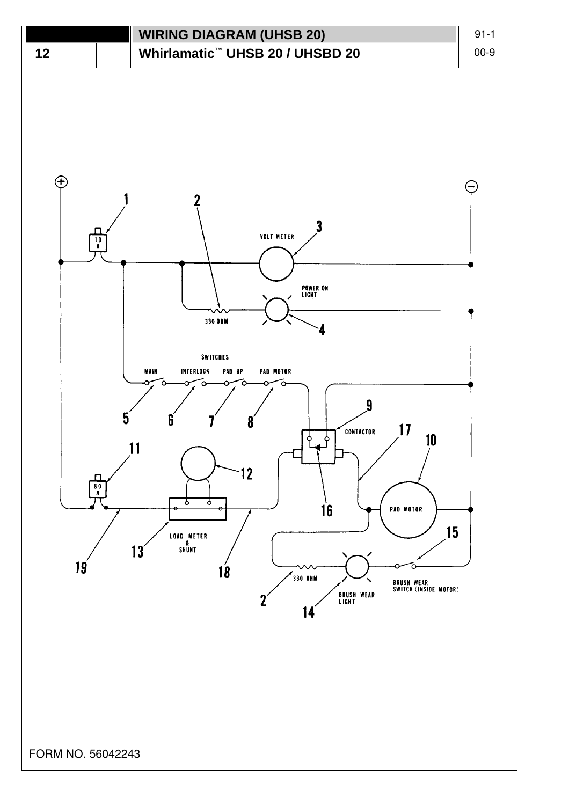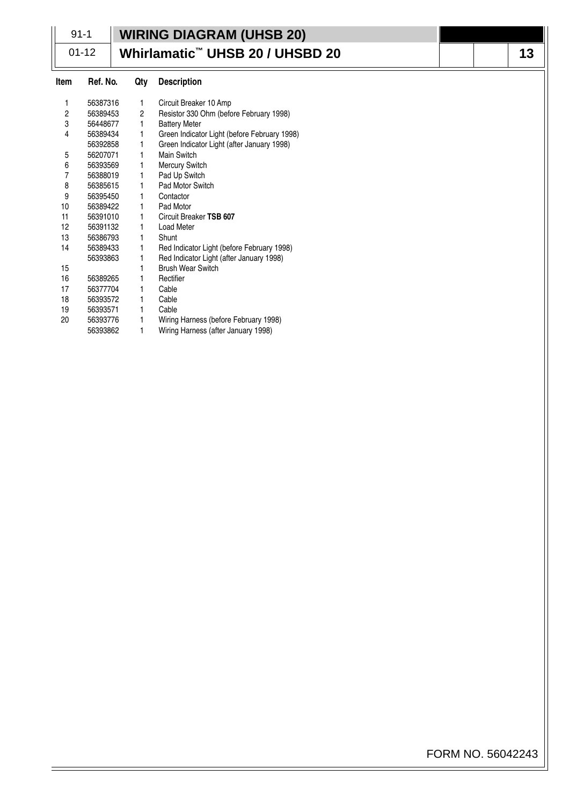|      | $91 - 1$  |              | <b>WIRING DIAGRAM (UHSB 20)</b>              |    |
|------|-----------|--------------|----------------------------------------------|----|
|      | $01 - 12$ |              | Whirlamatic <sup>™</sup> UHSB 20 / UHSBD 20  | 13 |
| Item | Ref. No.  | Qty          | <b>Description</b>                           |    |
| 1    | 56387316  | $\mathbf{1}$ | Circuit Breaker 10 Amp                       |    |
| 2    | 56389453  | 2            | Resistor 330 Ohm (before February 1998)      |    |
| 3    | 56448677  | 1            | <b>Battery Meter</b>                         |    |
| 4    | 56389434  | 1.           | Green Indicator Light (before February 1998) |    |
|      | 56392858  | 1            | Green Indicator Light (after January 1998)   |    |
| 5    | 56207071  | 1            | Main Switch                                  |    |
| 6    | 56393569  | 1            | <b>Mercury Switch</b>                        |    |
| 7    | 56388019  | 1            | Pad Up Switch                                |    |
| 8    | 56385615  | 1            | Pad Motor Switch                             |    |
| 9    | 56395450  | 1.           | Contactor                                    |    |
| 10   | 56389422  | 1.           | Pad Motor                                    |    |
| 11   | 56391010  | 1.           | Circuit Breaker TSB 607                      |    |
| 12   | 56391132  | 1            | Load Meter                                   |    |
| 13   | 56386793  | 1            | Shunt                                        |    |
| 14   | 56389433  | 1.           | Red Indicator Light (before February 1998)   |    |
|      | 56393863  | 1.           | Red Indicator Light (after January 1998)     |    |
| 15   |           |              | <b>Brush Wear Switch</b>                     |    |
| 16   | 56389265  | 1.           | Rectifier                                    |    |
| 17   | 56377704  | 1.           | Cable                                        |    |
| 18   | 56393572  | 1.           | Cable                                        |    |
| 19   | 56393571  | 1.           | Cable                                        |    |
| 20   | 56393776  | 1            | Wiring Harness (before February 1998)        |    |
|      | 56393862  | 1            | Wiring Harness (after January 1998)          |    |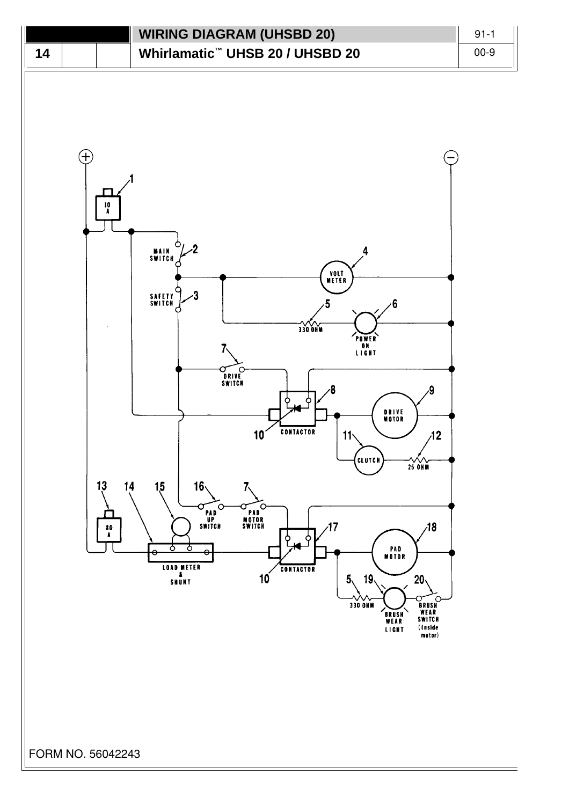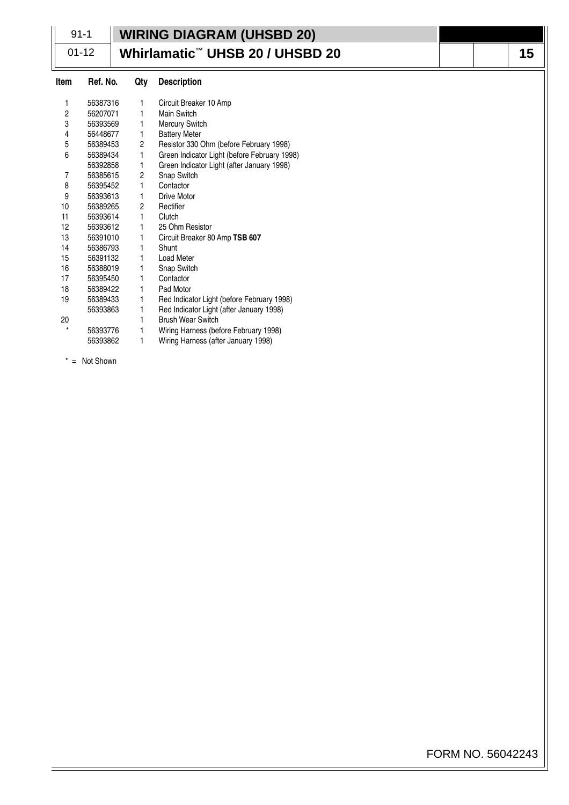|          | $91 - 1$  |                                             | <b>WIRING DIAGRAM (UHSBD 20)</b>             |    |  |
|----------|-----------|---------------------------------------------|----------------------------------------------|----|--|
|          | $01 - 12$ | Whirlamatic <sup>™</sup> UHSB 20 / UHSBD 20 |                                              | 15 |  |
| Item     | Ref. No.  | Qty                                         | <b>Description</b>                           |    |  |
| 1        | 56387316  | 1                                           | Circuit Breaker 10 Amp                       |    |  |
| 2        | 56207071  | 1                                           | Main Switch                                  |    |  |
| 3        | 56393569  | 1                                           | <b>Mercury Switch</b>                        |    |  |
| 4        | 56448677  | 1                                           | <b>Battery Meter</b>                         |    |  |
| 5        | 56389453  | 2                                           | Resistor 330 Ohm (before February 1998)      |    |  |
| 6        | 56389434  | 1                                           | Green Indicator Light (before February 1998) |    |  |
|          | 56392858  | 1                                           | Green Indicator Light (after January 1998)   |    |  |
| 7        | 56385615  | 2                                           | Snap Switch                                  |    |  |
| 8        | 56395452  | 1                                           | Contactor                                    |    |  |
| 9        | 56393613  | 1                                           | <b>Drive Motor</b>                           |    |  |
| 10       | 56389265  | 2                                           | Rectifier                                    |    |  |
| 11       | 56393614  | 1                                           | Clutch                                       |    |  |
| 12       | 56393612  | 1                                           | 25 Ohm Resistor                              |    |  |
| 13       | 56391010  | 1                                           | Circuit Breaker 80 Amp TSB 607               |    |  |
| 14       | 56386793  | 1                                           | Shunt                                        |    |  |
| 15       | 56391132  | 1                                           | <b>Load Meter</b>                            |    |  |
| 16       | 56388019  | 1                                           | <b>Snap Switch</b>                           |    |  |
| 17       | 56395450  | 1                                           | Contactor                                    |    |  |
| 18       | 56389422  | 1                                           | Pad Motor                                    |    |  |
| 19       | 56389433  | 1                                           | Red Indicator Light (before February 1998)   |    |  |
|          | 56393863  | 1                                           | Red Indicator Light (after January 1998)     |    |  |
| 20       |           | 1                                           | <b>Brush Wear Switch</b>                     |    |  |
| $^\star$ | 56393776  | 1                                           | Wiring Harness (before February 1998)        |    |  |
|          | 56393862  | 1                                           | Wiring Harness (after January 1998)          |    |  |

 $* = \text{Not Shown}$